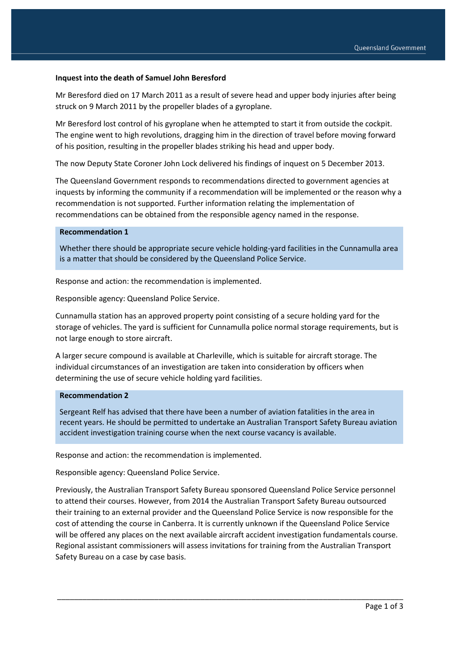#### **Inquest into the death of Samuel John Beresford**

Mr Beresford died on 17 March 2011 as a result of severe head and upper body injuries after being struck on 9 March 2011 by the propeller blades of a gyroplane.

Mr Beresford lost control of his gyroplane when he attempted to start it from outside the cockpit. The engine went to high revolutions, dragging him in the direction of travel before moving forward of his position, resulting in the propeller blades striking his head and upper body.

The now Deputy State Coroner John Lock delivered his findings of inquest on 5 December 2013.

The Queensland Government responds to recommendations directed to government agencies at inquests by informing the community if a recommendation will be implemented or the reason why a recommendation is not supported. Further information relating the implementation of recommendations can be obtained from the responsible agency named in the response.

# **Recommendation 1**

Whether there should be appropriate secure vehicle holding-yard facilities in the Cunnamulla area is a matter that should be considered by the Queensland Police Service.

Response and action: the recommendation is implemented.

Responsible agency: Queensland Police Service.

Cunnamulla station has an approved property point consisting of a secure holding yard for the storage of vehicles. The yard is sufficient for Cunnamulla police normal storage requirements, but is not large enough to store aircraft.

A larger secure compound is available at Charleville, which is suitable for aircraft storage. The individual circumstances of an investigation are taken into consideration by officers when determining the use of secure vehicle holding yard facilities.

#### **Recommendation 2**

Sergeant Relf has advised that there have been a number of aviation fatalities in the area in recent years. He should be permitted to undertake an Australian Transport Safety Bureau aviation accident investigation training course when the next course vacancy is available.

Response and action: the recommendation is implemented.

Responsible agency: Queensland Police Service.

Previously, the Australian Transport Safety Bureau sponsored Queensland Police Service personnel to attend their courses. However, from 2014 the Australian Transport Safety Bureau outsourced their training to an external provider and the Queensland Police Service is now responsible for the cost of attending the course in Canberra. It is currently unknown if the Queensland Police Service will be offered any places on the next available aircraft accident investigation fundamentals course. Regional assistant commissioners will assess invitations for training from the Australian Transport Safety Bureau on a case by case basis.

\_\_\_\_\_\_\_\_\_\_\_\_\_\_\_\_\_\_\_\_\_\_\_\_\_\_\_\_\_\_\_\_\_\_\_\_\_\_\_\_\_\_\_\_\_\_\_\_\_\_\_\_\_\_\_\_\_\_\_\_\_\_\_\_\_\_\_\_\_\_\_\_\_\_\_\_\_\_\_\_\_\_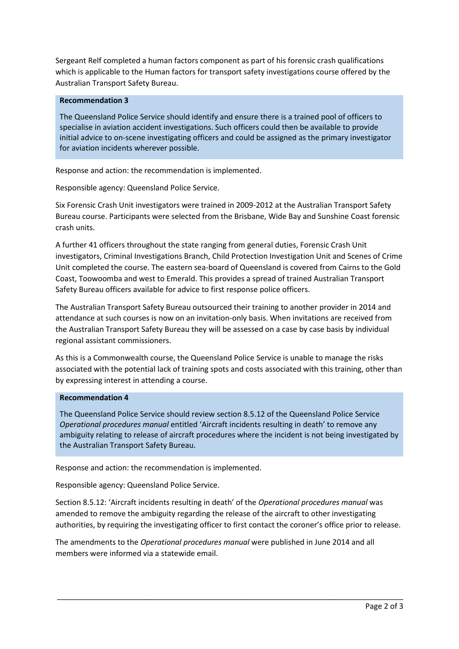Sergeant Relf completed a human factors component as part of his forensic crash qualifications which is applicable to the Human factors for transport safety investigations course offered by the Australian Transport Safety Bureau.

# **Recommendation 3**

The Queensland Police Service should identify and ensure there is a trained pool of officers to specialise in aviation accident investigations. Such officers could then be available to provide initial advice to on-scene investigating officers and could be assigned as the primary investigator for aviation incidents wherever possible.

Response and action: the recommendation is implemented.

Responsible agency: Queensland Police Service.

Six Forensic Crash Unit investigators were trained in 2009-2012 at the Australian Transport Safety Bureau course. Participants were selected from the Brisbane, Wide Bay and Sunshine Coast forensic crash units.

A further 41 officers throughout the state ranging from general duties, Forensic Crash Unit investigators, Criminal Investigations Branch, Child Protection Investigation Unit and Scenes of Crime Unit completed the course. The eastern sea-board of Queensland is covered from Cairns to the Gold Coast, Toowoomba and west to Emerald. This provides a spread of trained Australian Transport Safety Bureau officers available for advice to first response police officers.

The Australian Transport Safety Bureau outsourced their training to another provider in 2014 and attendance at such courses is now on an invitation-only basis. When invitations are received from the Australian Transport Safety Bureau they will be assessed on a case by case basis by individual regional assistant commissioners.

As this is a Commonwealth course, the Queensland Police Service is unable to manage the risks associated with the potential lack of training spots and costs associated with this training, other than by expressing interest in attending a course.

### **Recommendation 4**

The Queensland Police Service should review section 8.5.12 of the Queensland Police Service *Operational procedures manual* entitled 'Aircraft incidents resulting in death' to remove any ambiguity relating to release of aircraft procedures where the incident is not being investigated by the Australian Transport Safety Bureau.

Response and action: the recommendation is implemented.

Responsible agency: Queensland Police Service.

Section 8.5.12: 'Aircraft incidents resulting in death' of the *Operational procedures manual* was amended to remove the ambiguity regarding the release of the aircraft to other investigating authorities, by requiring the investigating officer to first contact the coroner's office prior to release.

\_\_\_\_\_\_\_\_\_\_\_\_\_\_\_\_\_\_\_\_\_\_\_\_\_\_\_\_\_\_\_\_\_\_\_\_\_\_\_\_\_\_\_\_\_\_\_\_\_\_\_\_\_\_\_\_\_\_\_\_\_\_\_\_\_\_\_\_\_\_\_\_\_\_\_\_\_\_\_\_\_\_

The amendments to the *Operational procedures manual* were published in June 2014 and all members were informed via a statewide email.